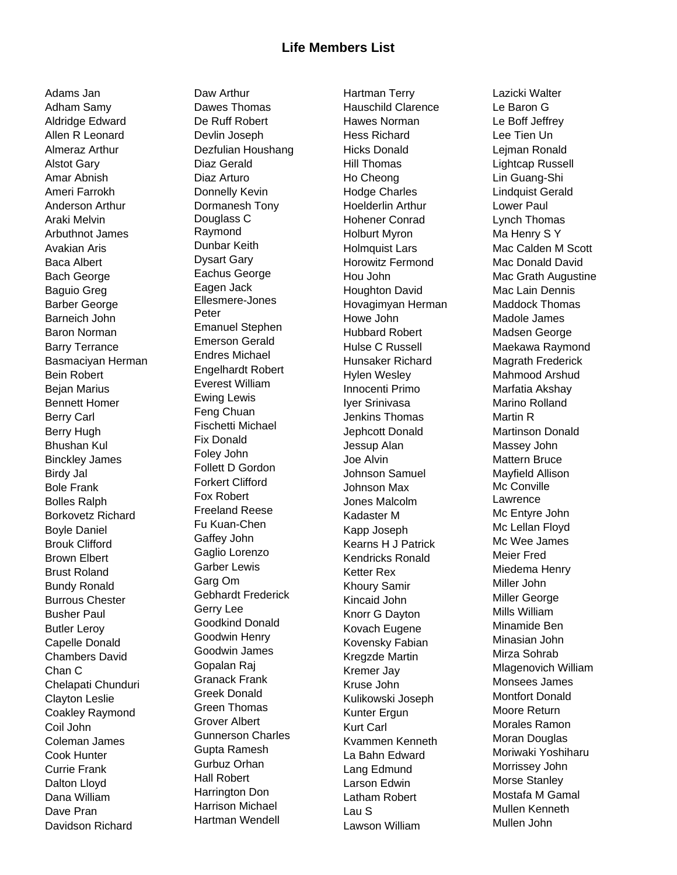## **Life Members List**

Adams Jan Adham Samy Aldridge Edward Allen R Leonard Almeraz Arthur Alstot Gary Amar Abnish Ameri Farrokh Anderson Arthur Araki Melvin Arbuthnot James Avakian Aris Baca Albert Bach George Baguio Greg Barber George Barneich John Baron Norman Barry Terrance Basmaciyan Herman Bein Robert **Beian Marius** Bennett Homer Berry Carl Berry Hugh Bhushan Kul Binckley James Birdy Jal Bole Frank Bolles Ralph Borkovetz Richard Boyle Daniel Brouk Clifford Brown Elbert Brust Roland Bundy Ronald Burrous Chester Busher Paul Butler Leroy Capelle Donald Chambers David Chan C Chelapati Chunduri Clayton Leslie Coakley Raymond Coil John Coleman James Cook Hunter Currie Frank Dalton Lloyd Dana William Dave Pran Davidson Richard

Daw Arthur Dawes Thomas De Ruff Robert Devlin Joseph Dezfulian Houshang Diaz Gerald Diaz Arturo Donnelly Kevin Dormanesh Tony Douglass C Raymond Dunbar Keith Dysart Gary Eachus George Eagen Jack Ellesmere-Jones Peter Emanuel Stephen Emerson Gerald Endres Michael Engelhardt Robert Everest William Ewing Lewis Feng Chuan Fischetti Michael Fix Donald Foley John Follett D Gordon Forkert Clifford Fox Robert Freeland Reese Fu Kuan-Chen Gaffey John Gaglio Lorenzo Garber Lewis Garg Om Gebhardt Frederick Gerry Lee Goodkind Donald Goodwin Henry Goodwin James Gopalan Raj Granack Frank Greek Donald Green Thomas Grover Albert Gunnerson Charles Gupta Ramesh Gurbuz Orhan Hall Robert Harrington Don Harrison Michael Hartman Wendell

Hartman Terry Hauschild Clarence Hawes Norman Hess Richard Hicks Donald Hill Thomas Ho Cheong Hodge Charles Hoelderlin Arthur Hohener Conrad Holburt Myron Holmquist Lars Horowitz Fermond Hou John Houghton David Hovagimyan Herman Howe John Hubbard Robert Hulse C Russell Hunsaker Richard Hylen Wesley Innocenti Primo Iyer Srinivasa Jenkins Thomas Jephcott Donald Jessup Alan Joe Alvin Johnson Samuel Johnson Max Jones Malcolm Kadaster M Kapp Joseph Kearns H J Patrick Kendricks Ronald Ketter Rex Khoury Samir Kincaid John Knorr G Dayton Kovach Eugene Kovensky Fabian Kregzde Martin Kremer Jay Kruse John Kulikowski Joseph Kunter Ergun Kurt Carl Kvammen Kenneth La Bahn Edward Lang Edmund Larson Edwin Latham Robert Lau S Lawson William

Lazicki Walter Le Baron G Le Boff Jeffrey Lee Tien Un Lejman Ronald Lightcap Russell Lin Guang-Shi Lindquist Gerald Lower Paul Lynch Thomas Ma Henry S Y Mac Calden M Scott Mac Donald David Mac Grath Augustine Mac Lain Dennis Maddock Thomas Madole James Madsen George Maekawa Raymond Magrath Frederick Mahmood Arshud Marfatia Akshay Marino Rolland Martin R Martinson Donald Massey John Mattern Bruce Mayfield Allison Mc Conville Lawrence Mc Entyre John Mc Lellan Floyd Mc Wee James Meier Fred Miedema Henry Miller John Miller George Mills William Minamide Ben Minasian John Mirza Sohrab Mlagenovich William Monsees James Montfort Donald Moore Return Morales Ramon Moran Douglas Moriwaki Yoshiharu Morrissey John Morse Stanley Mostafa M Gamal Mullen Kenneth Mullen John